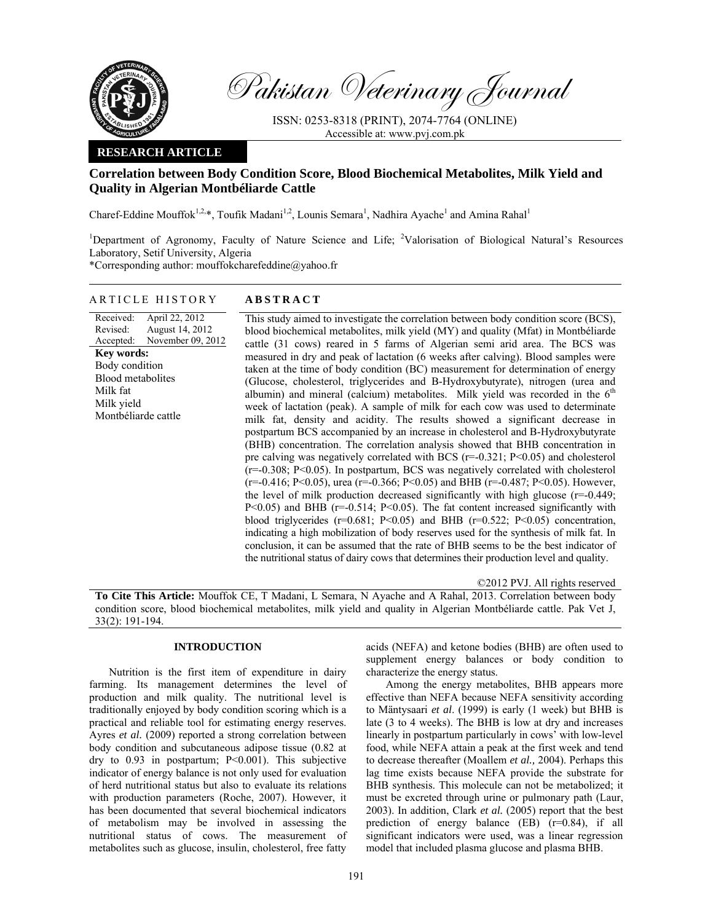

Pakistan Veterinary Journal

ISSN: 0253-8318 (PRINT), 2074-7764 (ONLINE) Accessible at: www.pvj.com.pk

# **RESEARCH ARTICLE**

# **Correlation between Body Condition Score, Blood Biochemical Metabolites, Milk Yield and Quality in Algerian Montbéliarde Cattle**

Charef-Eddine Mouffok<sup>1,2,\*</sup>, Toufik Madani<sup>1,2</sup>, Lounis Semara<sup>1</sup>, Nadhira Ayache<sup>1</sup> and Amina Rahal<sup>1</sup>

<sup>1</sup>Department of Agronomy, Faculty of Nature Science and Life; <sup>2</sup>Valorisation of Biological Natural's Resources Laboratory, Setif University, Algeria

\*Corresponding author: mouffokcharefeddine@yahoo.fr

## ARTICLE HISTORY **ABSTRACT**

Received: Revised: Accepted: April 22, 2012 August 14, 2012 November 09, 2012 **Key words:**  Body condition Blood metabolites Milk fat Milk yield Montbéliarde cattle

 This study aimed to investigate the correlation between body condition score (BCS), blood biochemical metabolites, milk yield (MY) and quality (Mfat) in Montbéliarde cattle (31 cows) reared in 5 farms of Algerian semi arid area. The BCS was measured in dry and peak of lactation (6 weeks after calving). Blood samples were taken at the time of body condition (BC) measurement for determination of energy (Glucose, cholesterol, triglycerides and B-Hydroxybutyrate), nitrogen (urea and albumin) and mineral (calcium) metabolites. Milk yield was recorded in the  $6<sup>th</sup>$ week of lactation (peak). A sample of milk for each cow was used to determinate milk fat, density and acidity. The results showed a significant decrease in postpartum BCS accompanied by an increase in cholesterol and B-Hydroxybutyrate (BHB) concentration. The correlation analysis showed that BHB concentration in pre calving was negatively correlated with BCS  $(r=-0.321; P<0.05)$  and cholesterol  $(r=0.308; P<0.05)$ . In postpartum, BCS was negatively correlated with cholesterol  $(r=-0.416; P<0.05)$ , urea  $(r=-0.366; P<0.05)$  and BHB  $(r=-0.487; P<0.05)$ . However, the level of milk production decreased significantly with high glucose  $(r=0.449)$ ;  $P<0.05$ ) and BHB ( $r=-0.514$ ;  $P<0.05$ ). The fat content increased significantly with blood triglycerides ( $r=0.681$ ; P<0.05) and BHB ( $r=0.522$ ; P<0.05) concentration, indicating a high mobilization of body reserves used for the synthesis of milk fat. In conclusion, it can be assumed that the rate of BHB seems to be the best indicator of the nutritional status of dairy cows that determines their production level and quality.

©2012 PVJ. All rights reserved

**To Cite This Article:** Mouffok CE, T Madani, L Semara, N Ayache and A Rahal, 2013. Correlation between body condition score, blood biochemical metabolites, milk yield and quality in Algerian Montbéliarde cattle. Pak Vet J, 33(2): 191-194.

# **INTRODUCTION**

Nutrition is the first item of expenditure in dairy farming. Its management determines the level of production and milk quality. The nutritional level is traditionally enjoyed by body condition scoring which is a practical and reliable tool for estimating energy reserves. Ayres *et al.* (2009) reported a strong correlation between body condition and subcutaneous adipose tissue (0.82 at dry to 0.93 in postpartum; P<0.001). This subjective indicator of energy balance is not only used for evaluation of herd nutritional status but also to evaluate its relations with production parameters (Roche, 2007). However, it has been documented that several biochemical indicators of metabolism may be involved in assessing the nutritional status of cows. The measurement of metabolites such as glucose, insulin, cholesterol, free fatty

acids (NEFA) and ketone bodies (BHB) are often used to supplement energy balances or body condition to characterize the energy status.

Among the energy metabolites, BHB appears more effective than NEFA because NEFA sensitivity according to Mäntysaari *et al*. (1999) is early (1 week) but BHB is late (3 to 4 weeks). The BHB is low at dry and increases linearly in postpartum particularly in cows' with low-level food, while NEFA attain a peak at the first week and tend to decrease thereafter (Moallem *et al.,* 2004). Perhaps this lag time exists because NEFA provide the substrate for BHB synthesis. This molecule can not be metabolized; it must be excreted through urine or pulmonary path (Laur, 2003). In addition, Clark *et al.* (2005) report that the best prediction of energy balance (EB) (r=0.84), if all significant indicators were used, was a linear regression model that included plasma glucose and plasma BHB.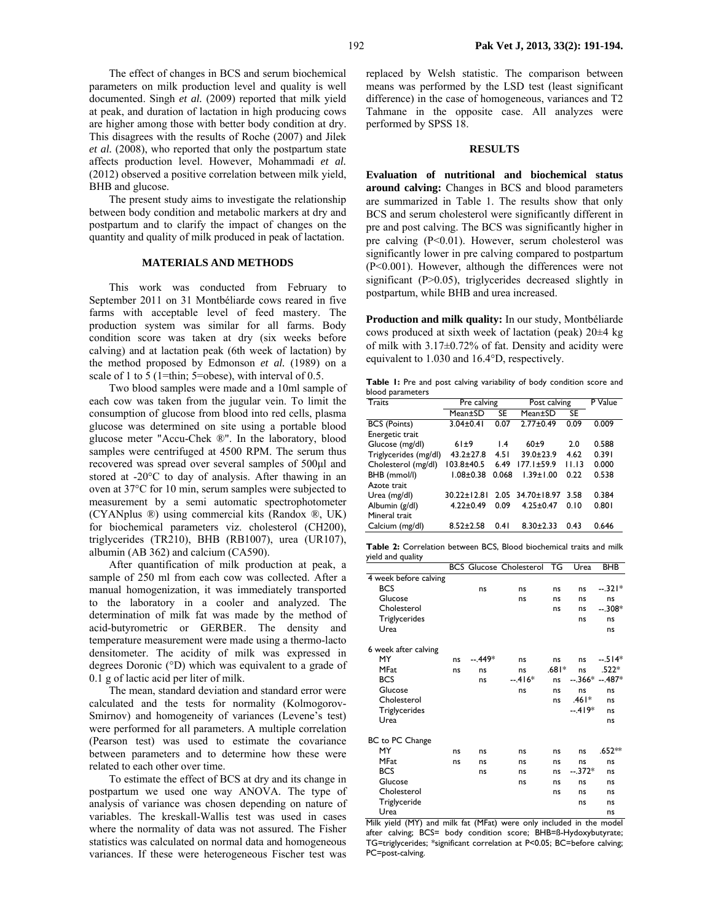192 **Pak Vet J, 2013, 33(2): 191-194.**

The effect of changes in BCS and serum biochemical parameters on milk production level and quality is well documented. Singh *et al.* (2009) reported that milk yield at peak, and duration of lactation in high producing cows are higher among those with better body condition at dry. This disagrees with the results of Roche (2007) and Jilek *et al.* (2008), who reported that only the postpartum state affects production level. However, Mohammadi *et al.* (2012) observed a positive correlation between milk yield, BHB and glucose.

The present study aims to investigate the relationship between body condition and metabolic markers at dry and postpartum and to clarify the impact of changes on the quantity and quality of milk produced in peak of lactation.

## **MATERIALS AND METHODS**

This work was conducted from February to September 2011 on 31 Montbéliarde cows reared in five farms with acceptable level of feed mastery. The production system was similar for all farms. Body condition score was taken at dry (six weeks before calving) and at lactation peak (6th week of lactation) by the method proposed by Edmonson *et al.* (1989) on a scale of 1 to 5 (1=thin; 5=obese), with interval of 0.5.

Two blood samples were made and a 10ml sample of each cow was taken from the jugular vein. To limit the consumption of glucose from blood into red cells, plasma glucose was determined on site using a portable blood glucose meter "Accu-Chek ®". In the laboratory, blood samples were centrifuged at 4500 RPM. The serum thus recovered was spread over several samples of 500µl and stored at -20°C to day of analysis. After thawing in an oven at 37°C for 10 min, serum samples were subjected to measurement by a semi automatic spectrophotometer (CYANplus ®) using commercial kits (Randox ®, UK) for biochemical parameters viz. cholesterol (CH200), triglycerides (TR210), BHB (RB1007), urea (UR107), albumin (AB 362) and calcium (CA590).

After quantification of milk production at peak, a sample of 250 ml from each cow was collected. After a manual homogenization, it was immediately transported to the laboratory in a cooler and analyzed. The determination of milk fat was made by the method of acid-butyrometric or GERBER. The density and temperature measurement were made using a thermo-lacto densitometer. The acidity of milk was expressed in degrees Doronic (°D) which was equivalent to a grade of 0.1 g of lactic acid per liter of milk.

The mean, standard deviation and standard error were calculated and the tests for normality (Kolmogorov-Smirnov) and homogeneity of variances (Levene's test) were performed for all parameters. A multiple correlation (Pearson test) was used to estimate the covariance between parameters and to determine how these were related to each other over time.

To estimate the effect of BCS at dry and its change in postpartum we used one way ANOVA. The type of analysis of variance was chosen depending on nature of variables. The kreskall-Wallis test was used in cases where the normality of data was not assured. The Fisher statistics was calculated on normal data and homogeneous variances. If these were heterogeneous Fischer test was

replaced by Welsh statistic. The comparison between means was performed by the LSD test (least significant difference) in the case of homogeneous, variances and T2 Tahmane in the opposite case. All analyzes were performed by SPSS 18.

#### **RESULTS**

**Evaluation of nutritional and biochemical status around calving:** Changes in BCS and blood parameters are summarized in Table 1. The results show that only BCS and serum cholesterol were significantly different in pre and post calving. The BCS was significantly higher in pre calving (P<0.01). However, serum cholesterol was significantly lower in pre calving compared to postpartum (P<0.001). However, although the differences were not significant (P>0.05), triglycerides decreased slightly in postpartum, while BHB and urea increased.

**Production and milk quality:** In our study, Montbéliarde cows produced at sixth week of lactation (peak) 20±4 kg of milk with 3.17±0.72% of fat. Density and acidity were equivalent to 1.030 and 16.4°D, respectively.

Table 1: Pre and post calving variability of body condition score and blood parameters

| Traits                | Pre calving       |                 | Post calving    | P Value |       |
|-----------------------|-------------------|-----------------|-----------------|---------|-------|
|                       | Mean±SD           | SE              | Mean±SD         | SE      |       |
| <b>BCS</b> (Points)   | $3.04 \pm 0.41$   | 0.07            | $2.77 \pm 0.49$ | 0.09    | 0.009 |
| Energetic trait       |                   |                 |                 |         |       |
| Glucose (mg/dl)       | 61±9              | $\mathsf{I}$ .4 | $60+9$          | 2.0     | 0.588 |
| Triglycerides (mg/dl) | $43.2 \pm 27.8$   | 4.51            | $39.0 \pm 23.9$ | 4.62    | 0.391 |
| Cholesterol (mg/dl)   | 103.8±40.5        | 6.49            | 177.1±59.9      | 11.13   | 0.000 |
| BHB (mmol/l)          | $1.08 + 0.38$     | 0.068           | $1.39 \pm 1.00$ | 0.22    | 0.538 |
| Azote trait           |                   |                 |                 |         |       |
| Urea (mg/dl)          | $30.22 \pm 12.81$ | 2.05            | 34.70±18.97     | 3.58    | 0.384 |
| Albumin (g/dl)        | $4.22 \pm 0.49$   | 0.09            | $4.25 \pm 0.47$ | 0.10    | 0.801 |
| Mineral trait         |                   |                 |                 |         |       |
| Calcium (mg/dl)       | $8.52 \pm 2.58$   | 0.41            | $8.30 \pm 2.33$ | 0.43    | 0.646 |

**Table 2:** Correlation between BCS, Blood biochemical traits and milk yield and quality

|                       |    |          | <b>BCS Glucose Cholesterol TG</b> |       | Urea     | <b>BHB</b>       |
|-----------------------|----|----------|-----------------------------------|-------|----------|------------------|
| 4 week before calving |    |          |                                   |       |          |                  |
| <b>BCS</b>            |    | ns       | ns                                | ns    | ns       | --.321*          |
| Glucose               |    |          | ns                                | ns    | ns       | ns               |
| Cholesterol           |    |          |                                   | ns    | ns       | $-.308*$         |
| Triglycerides         |    |          |                                   |       | ns       | ns               |
| Urea                  |    |          |                                   |       |          | ns               |
| 6 week after calving  |    |          |                                   |       |          |                  |
| MY                    | ns | $-.449*$ | ns                                | ns    | ns       | $-.514*$         |
| <b>MFat</b>           | ns | ns       | ns                                | .681* | ns       | $.522*$          |
| <b>BCS</b>            |    | ns       | $-.416*$                          | ns    |          | $-.366* - .487*$ |
| Glucose               |    |          | ns                                | ns    | ns       | ns               |
| Cholesterol           |    |          |                                   | ns    | *161.    | ns               |
| Triglycerides         |    |          |                                   |       | $-419*$  | ns               |
| Urea                  |    |          |                                   |       |          | ns               |
| BC to PC Change       |    |          |                                   |       |          |                  |
| MY                    | ns | ns       | ns                                | ns    | ns       | .652**           |
| <b>MFat</b>           | ns | ns       | ns                                | ns    | ns       | ns               |
| <b>BCS</b>            |    | ns       | ns                                | ns    | $-.372*$ | ns               |
| Glucose               |    |          | ns                                | ns    | ns       | ns               |
| Cholesterol           |    |          |                                   | ns    | ns       | ns               |
| Triglyceride          |    |          |                                   |       | ns       | ns               |
| Urea                  |    |          |                                   |       |          | ns               |

Milk yield (MY) and milk fat (MFat) were only included in the model after calving; BCS= body condition score; BHB=ß-Hydoxybutyrate; TG=triglycerides; \*significant correlation at P<0.05; BC=before calving; PC=post-calving.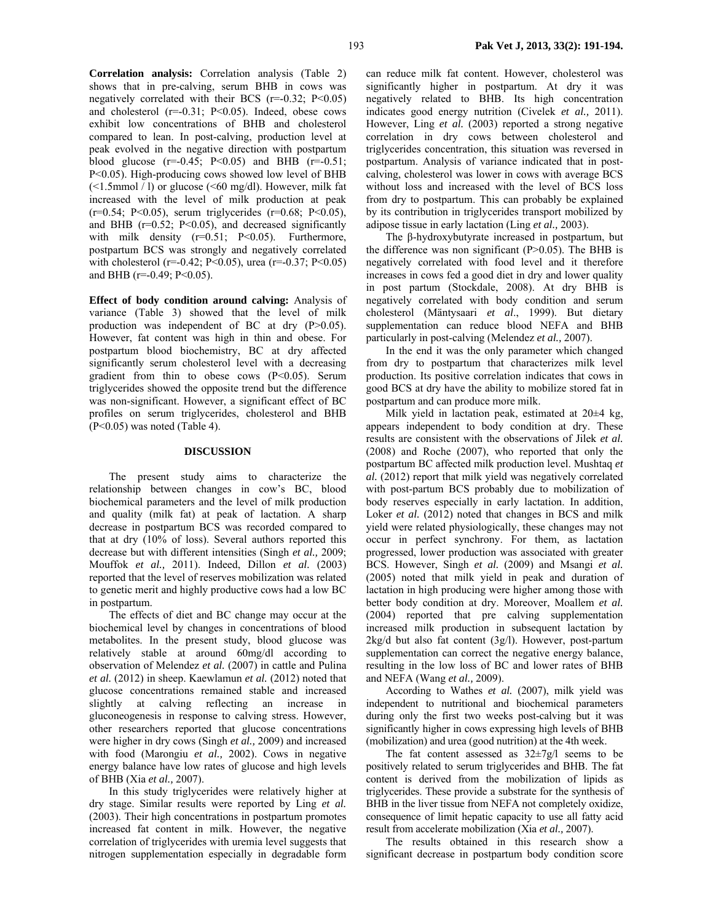**Correlation analysis:** Correlation analysis (Table 2) shows that in pre-calving, serum BHB in cows was negatively correlated with their BCS  $(r=-0.32; P<0.05)$ and cholesterol  $(r=-0.31; P<0.05)$ . Indeed, obese cows exhibit low concentrations of BHB and cholesterol compared to lean. In post-calving, production level at peak evolved in the negative direction with postpartum blood glucose  $(r=-0.45; P<0.05)$  and BHB  $(r=-0.51; P<0.05)$ P<0.05). High-producing cows showed low level of BHB (<1.5mmol / l) or glucose (<60 mg/dl). However, milk fat increased with the level of milk production at peak  $(r=0.54; P<0.05)$ , serum triglycerides  $(r=0.68; P<0.05)$ , and BHB ( $r=0.52$ ; P<0.05), and decreased significantly with milk density  $(r=0.51; P<0.05)$ . Furthermore, postpartum BCS was strongly and negatively correlated with cholesterol (r=-0.42; P<0.05), urea (r=-0.37; P<0.05) and BHB (r=-0.49; P<0.05).

**Effect of body condition around calving:** Analysis of variance (Table 3) showed that the level of milk production was independent of BC at dry (P>0.05). However, fat content was high in thin and obese. For postpartum blood biochemistry, BC at dry affected significantly serum cholesterol level with a decreasing gradient from thin to obese cows (P<0.05). Serum triglycerides showed the opposite trend but the difference was non-significant. However, a significant effect of BC profiles on serum triglycerides, cholesterol and BHB (P<0.05) was noted (Table 4).

#### **DISCUSSION**

The present study aims to characterize the relationship between changes in cow's BC, blood biochemical parameters and the level of milk production and quality (milk fat) at peak of lactation. A sharp decrease in postpartum BCS was recorded compared to that at dry (10% of loss). Several authors reported this decrease but with different intensities (Singh *et al.,* 2009; Mouffok *et al.,* 2011). Indeed, Dillon *et al.* (2003) reported that the level of reserves mobilization was related to genetic merit and highly productive cows had a low BC in postpartum.

The effects of diet and BC change may occur at the biochemical level by changes in concentrations of blood metabolites. In the present study, blood glucose was relatively stable at around 60mg/dl according to observation of Melendez *et al.* (2007) in cattle and Pulina *et al.* (2012) in sheep. Kaewlamun *et al.* (2012) noted that glucose concentrations remained stable and increased slightly at calving reflecting an increase in gluconeogenesis in response to calving stress. However, other researchers reported that glucose concentrations were higher in dry cows (Singh *et al.,* 2009) and increased with food (Marongiu *et al.,* 2002). Cows in negative energy balance have low rates of glucose and high levels of BHB (Xia *et al.,* 2007).

In this study triglycerides were relatively higher at dry stage. Similar results were reported by Ling *et al.* (2003). Their high concentrations in postpartum promotes increased fat content in milk. However, the negative correlation of triglycerides with uremia level suggests that nitrogen supplementation especially in degradable form

can reduce milk fat content. However, cholesterol was significantly higher in postpartum. At dry it was negatively related to BHB. Its high concentration indicates good energy nutrition (Civelek *et al.,* 2011). However, Ling *et al.* (2003) reported a strong negative correlation in dry cows between cholesterol and triglycerides concentration, this situation was reversed in postpartum. Analysis of variance indicated that in postcalving, cholesterol was lower in cows with average BCS without loss and increased with the level of BCS loss from dry to postpartum. This can probably be explained by its contribution in triglycerides transport mobilized by adipose tissue in early lactation (Ling *et al.,* 2003).

The β-hydroxybutyrate increased in postpartum, but the difference was non significant  $(P>0.05)$ . The BHB is negatively correlated with food level and it therefore increases in cows fed a good diet in dry and lower quality in post partum (Stockdale, 2008). At dry BHB is negatively correlated with body condition and serum cholesterol (Mäntysaari *et al*., 1999). But dietary supplementation can reduce blood NEFA and BHB particularly in post-calving (Melendez *et al.,* 2007).

In the end it was the only parameter which changed from dry to postpartum that characterizes milk level production. Its positive correlation indicates that cows in good BCS at dry have the ability to mobilize stored fat in postpartum and can produce more milk.

Milk yield in lactation peak, estimated at 20±4 kg, appears independent to body condition at dry. These results are consistent with the observations of Jilek *et al.* (2008) and Roche (2007), who reported that only the postpartum BC affected milk production level. Mushtaq *et al.* (2012) report that milk yield was negatively correlated with post-partum BCS probably due to mobilization of body reserves especially in early lactation. In addition, Loker *et al.* (2012) noted that changes in BCS and milk yield were related physiologically, these changes may not occur in perfect synchrony. For them, as lactation progressed, lower production was associated with greater BCS. However, Singh *et al.* (2009) and Msangi *et al.* (2005) noted that milk yield in peak and duration of lactation in high producing were higher among those with better body condition at dry. Moreover, Moallem *et al.* (2004) reported that pre calving supplementation increased milk production in subsequent lactation by 2kg/d but also fat content (3g/l). However, post-partum supplementation can correct the negative energy balance, resulting in the low loss of BC and lower rates of BHB and NEFA (Wang *et al.,* 2009).

According to Wathes *et al.* (2007), milk yield was independent to nutritional and biochemical parameters during only the first two weeks post-calving but it was significantly higher in cows expressing high levels of BHB (mobilization) and urea (good nutrition) at the 4th week.

The fat content assessed as  $32\pm7g/$  seems to be positively related to serum triglycerides and BHB. The fat content is derived from the mobilization of lipids as triglycerides. These provide a substrate for the synthesis of BHB in the liver tissue from NEFA not completely oxidize, consequence of limit hepatic capacity to use all fatty acid result from accelerate mobilization (Xia *et al.,* 2007).

The results obtained in this research show a significant decrease in postpartum body condition score